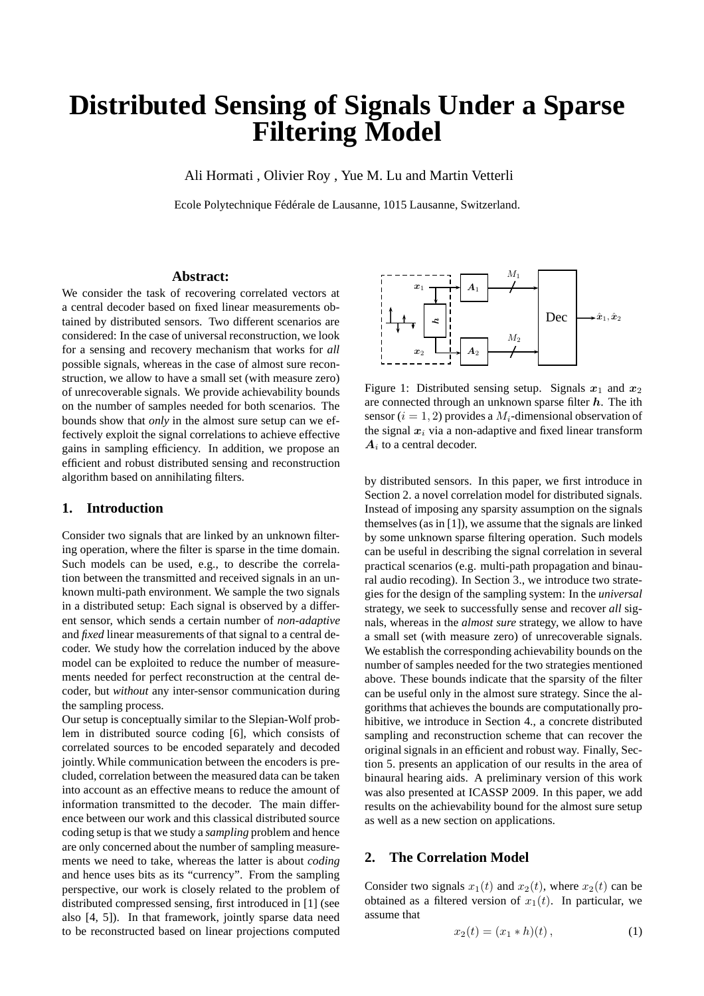# **Distributed Sensing of Signals Under a Sparse Filtering Model**

Ali Hormati , Olivier Roy , Yue M. Lu and Martin Vetterli

Ecole Polytechnique Fédérale de Lausanne, 1015 Lausanne, Switzerland.

# **Abstract:**

We consider the task of recovering correlated vectors at a central decoder based on fixed linear measurements obtained by distributed sensors. Two different scenarios are considered: In the case of universal reconstruction, we look for a sensing and recovery mechanism that works for *all* possible signals, whereas in the case of almost sure reconstruction, we allow to have a small set (with measure zero) of unrecoverable signals. We provide achievability bounds on the number of samples needed for both scenarios. The bounds show that *only* in the almost sure setup can we effectively exploit the signal correlations to achieve effective gains in sampling efficiency. In addition, we propose an efficient and robust distributed sensing and reconstruction algorithm based on annihilating filters.

## **1. Introduction**

Consider two signals that are linked by an unknown filtering operation, where the filter is sparse in the time domain. Such models can be used, e.g., to describe the correlation between the transmitted and received signals in an unknown multi-path environment. We sample the two signals in a distributed setup: Each signal is observed by a different sensor, which sends a certain number of *non-adaptive* and *fixed* linear measurements of that signal to a central decoder. We study how the correlation induced by the above model can be exploited to reduce the number of measurements needed for perfect reconstruction at the central decoder, but *without* any inter-sensor communication during the sampling process.

Our setup is conceptually similar to the Slepian-Wolf problem in distributed source coding [6], which consists of correlated sources to be encoded separately and decoded jointly. While communication between the encoders is precluded, correlation between the measured data can be taken into account as an effective means to reduce the amount of information transmitted to the decoder. The main difference between our work and this classical distributed source coding setup is that we study a *sampling* problem and hence are only concerned about the number of sampling measurements we need to take, whereas the latter is about *coding* and hence uses bits as its "currency". From the sampling perspective, our work is closely related to the problem of distributed compressed sensing, first introduced in [1] (see also [4, 5]). In that framework, jointly sparse data need to be reconstructed based on linear projections computed



Figure 1: Distributed sensing setup. Signals  $x_1$  and  $x_2$ are connected through an unknown sparse filter  $h$ . The ith sensor ( $i = 1, 2$ ) provides a  $M_i$ -dimensional observation of the signal  $x_i$  via a non-adaptive and fixed linear transform  $A_i$  to a central decoder.

by distributed sensors. In this paper, we first introduce in Section 2. a novel correlation model for distributed signals. Instead of imposing any sparsity assumption on the signals themselves (as in [1]), we assume that the signals are linked by some unknown sparse filtering operation. Such models can be useful in describing the signal correlation in several practical scenarios (e.g. multi-path propagation and binaural audio recoding). In Section 3., we introduce two strategies for the design of the sampling system: In the *universal* strategy, we seek to successfully sense and recover *all* signals, whereas in the *almost sure* strategy, we allow to have a small set (with measure zero) of unrecoverable signals. We establish the corresponding achievability bounds on the number of samples needed for the two strategies mentioned above. These bounds indicate that the sparsity of the filter can be useful only in the almost sure strategy. Since the algorithms that achieves the bounds are computationally prohibitive, we introduce in Section 4., a concrete distributed sampling and reconstruction scheme that can recover the original signals in an efficient and robust way. Finally, Section 5. presents an application of our results in the area of binaural hearing aids. A preliminary version of this work was also presented at ICASSP 2009. In this paper, we add results on the achievability bound for the almost sure setup as well as a new section on applications.

# **2. The Correlation Model**

Consider two signals  $x_1(t)$  and  $x_2(t)$ , where  $x_2(t)$  can be obtained as a filtered version of  $x_1(t)$ . In particular, we assume that

$$
x_2(t) = (x_1 * h)(t), \t\t(1)
$$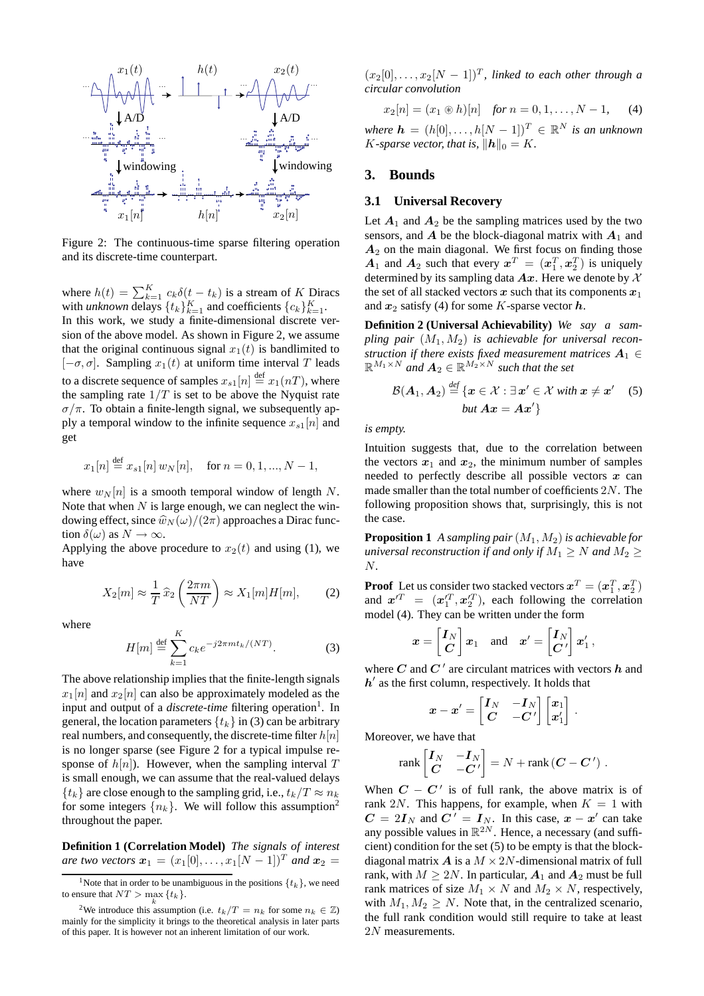

Figure 2: The continuous-time sparse filtering operation and its discrete-time counterpart.

where  $h(t) = \sum_{k=1}^{K} c_k \delta(t - t_k)$  is a stream of K Diracs with *unknown* delays  $\{t_k\}_{k=1}^K$  and coefficients  $\{c_k\}_{k=1}^K$ . In this work, we study a finite-dimensional discrete version of the above model. As shown in Figure 2, we assume that the original continuous signal  $x_1(t)$  is bandlimited to  $[-\sigma, \sigma]$ . Sampling  $x_1(t)$  at uniform time interval T leads to a discrete sequence of samples  $x_{s1}[n] \stackrel{\text{def}}{=} x_1(nT)$ , where the sampling rate  $1/T$  is set to be above the Nyquist rate  $\sigma/\pi$ . To obtain a finite-length signal, we subsequently apply a temporal window to the infinite sequence  $x_{s1}[n]$  and get

$$
x_1[n] \stackrel{\text{def}}{=} x_{s1}[n] w_N[n], \quad \text{for } n = 0, 1, ..., N - 1,
$$

where  $w_N[n]$  is a smooth temporal window of length N. Note that when  $N$  is large enough, we can neglect the windowing effect, since  $\hat{w}_N(\omega)/(2\pi)$  approaches a Dirac function  $\delta(\omega)$  as  $N \to \infty$ .

Applying the above procedure to  $x_2(t)$  and using (1), we have

$$
X_2[m] \approx \frac{1}{T} \hat{x}_2\left(\frac{2\pi m}{NT}\right) \approx X_1[m]H[m],\tag{2}
$$

where

$$
H[m] \stackrel{\text{def}}{=} \sum_{k=1}^{K} c_k e^{-j2\pi mt_k/(NT)}.
$$
 (3)

The above relationship implies that the finite-length signals  $x_1[n]$  and  $x_2[n]$  can also be approximately modeled as the input and output of a *discrete-time* filtering operation<sup>1</sup>. In general, the location parameters  $\{t_k\}$  in (3) can be arbitrary real numbers, and consequently, the discrete-time filter  $h[n]$ is no longer sparse (see Figure 2 for a typical impulse response of  $h[n]$ ). However, when the sampling interval T is small enough, we can assume that the real-valued delays  ${t_k}$  are close enough to the sampling grid, i.e.,  $t_k/T \approx n_k$ for some integers  $\{n_k\}$ . We will follow this assumption<sup>2</sup> throughout the paper.

**Definition 1 (Correlation Model)** *The signals of interest are two vectors*  $x_1 = (x_1[0], \ldots, x_1[N-1])^T$  *and*  $x_2 =$ 

 $(x_2[0], \ldots, x_2[N-1])^T$ , linked to each other through a *circular convolution*

$$
x_2[n] = (x_1 \circledast h)[n] \quad \text{for } n = 0, 1, \dots, N - 1, \quad (4)
$$

*where*  $h = (h[0], \ldots, h[N-1])^T \in \mathbb{R}^N$  *is an unknown K*-sparse vector, that is,  $\|\mathbf{h}\|_0 = K$ .

#### **3. Bounds**

## **3.1 Universal Recovery**

Let  $A_1$  and  $A_2$  be the sampling matrices used by the two sensors, and  $A$  be the block-diagonal matrix with  $A_1$  and  $A_2$  on the main diagonal. We first focus on finding those  $A_1$  and  $A_2$  such that every  $x^T = (x_1^T, x_2^T)$  is uniquely determined by its sampling data  $Ax$ . Here we denote by X the set of all stacked vectors x such that its components  $x_1$ and  $x_2$  satisfy (4) for some K-sparse vector h.

**Definition 2 (Universal Achievability)** *We say a sampling pair*  $(M_1, M_2)$  *is achievable for universal reconstruction if there exists fixed measurement matrices*  $A_1 \in$  $\mathbb{R}^{M_1 \times N}$  and  $\mathbf{A}_2 \in \mathbb{R}^{M_2 \times N}$  *such that the set* 

$$
\mathcal{B}(\boldsymbol{A}_1, \boldsymbol{A}_2) \stackrel{\text{def}}{=} \{ \boldsymbol{x} \in \mathcal{X} : \exists \boldsymbol{x}' \in \mathcal{X} \text{ with } \boldsymbol{x} \neq \boldsymbol{x}' \quad (5) \\ \text{but } \boldsymbol{A}\boldsymbol{x} = \boldsymbol{A}\boldsymbol{x}' \}
$$

*is empty.*

Intuition suggests that, due to the correlation between the vectors  $x_1$  and  $x_2$ , the minimum number of samples needed to perfectly describe all possible vectors  $x$  can made smaller than the total number of coefficients 2N. The following proposition shows that, surprisingly, this is not the case.

**Proposition 1** *A sampling pair*(M1, M2) *is achievable for universal reconstruction if and only if*  $M_1 \geq N$  *and*  $M_2 \geq$ N*.*

**Proof** Let us consider two stacked vectors  $\mathbf{x}^T = (\mathbf{x}_1^T, \mathbf{x}_2^T)$ and  $x'^T = (x'^T_1, x'^T_2)$ , each following the correlation model (4). They can be written under the form

$$
\boldsymbol{x} = \begin{bmatrix} \boldsymbol{I}_N \\ \boldsymbol{C} \end{bmatrix} \boldsymbol{x}_1 \quad \text{and} \quad \boldsymbol{x}' = \begin{bmatrix} \boldsymbol{I}_N \\ \boldsymbol{C}' \end{bmatrix} \boldsymbol{x}'_1 \,,
$$

where C and  $C'$  are circulant matrices with vectors  $h$  and  $h'$  as the first column, respectively. It holds that

$$
\boldsymbol{x}-\boldsymbol{x}'=\begin{bmatrix} \boldsymbol{I}_N & -\boldsymbol{I}_N \\ \boldsymbol{C} & -\boldsymbol{C}' \end{bmatrix} \begin{bmatrix} \boldsymbol{x}_1 \\ \boldsymbol{x}'_1 \end{bmatrix}\,.
$$

Moreover, we have that

$$
\text{rank}\begin{bmatrix} \boldsymbol{I}_N & -\boldsymbol{I}_N \\ \boldsymbol{C} & -\boldsymbol{C}' \end{bmatrix} = N + \text{rank}\left(\boldsymbol{C} - \boldsymbol{C}'\right).
$$

When  $C - C'$  is of full rank, the above matrix is of rank 2N. This happens, for example, when  $K = 1$  with  $C = 2I_N$  and  $C^{i'} = I_N$ . In this case,  $x - x'$  can take any possible values in  $\mathbb{R}^{2N}$ . Hence, a necessary (and sufficient) condition for the set (5) to be empty is that the blockdiagonal matrix  $\boldsymbol{A}$  is a  $M \times 2N$ -dimensional matrix of full rank, with  $M \geq 2N$ . In particular,  $A_1$  and  $A_2$  must be full rank matrices of size  $M_1 \times N$  and  $M_2 \times N$ , respectively, with  $M_1, M_2 \geq N$ . Note that, in the centralized scenario, the full rank condition would still require to take at least 2N measurements.

<sup>&</sup>lt;sup>1</sup>Note that in order to be unambiguous in the positions  $\{t_k\}$ , we need to ensure that  $NT > \max_k \{t_k\}.$ 

<sup>&</sup>lt;sup>2</sup>We introduce this assumption (i.e.  $t_k/T = n_k$  for some  $n_k \in \mathbb{Z}$ ) mainly for the simplicity it brings to the theoretical analysis in later parts of this paper. It is however not an inherent limitation of our work.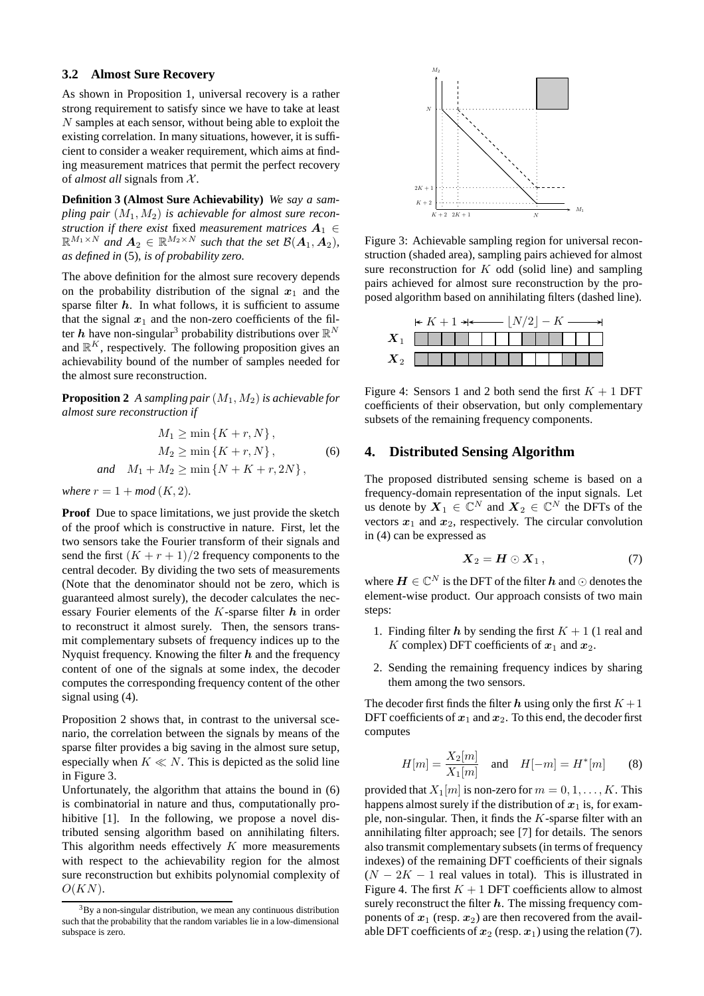# **3.2 Almost Sure Recovery**

As shown in Proposition 1, universal recovery is a rather strong requirement to satisfy since we have to take at least N samples at each sensor, without being able to exploit the existing correlation. In many situations, however, it is sufficient to consider a weaker requirement, which aims at finding measurement matrices that permit the perfect recovery of *almost all* signals from X.

**Definition 3 (Almost Sure Achievability)** *We say a sampling pair*  $(M_1, M_2)$  *is achievable for almost sure reconstruction if there exist fixed measurement matrices*  $A_1 \in$  $\mathbb{R}^{M_1 \times N}$  and  $\mathbf{A}_2 \in \mathbb{R}^{M_2 \times N}$  such that the set  $\mathcal{B}(\mathbf{A}_1, \mathbf{A}_2)$ , *as defined in* (5)*, is of probability zero.*

The above definition for the almost sure recovery depends on the probability distribution of the signal  $x_1$  and the sparse filter  $h$ . In what follows, it is sufficient to assume that the signal  $x_1$  and the non-zero coefficients of the filter h have non-singular<sup>3</sup> probability distributions over  $\mathbb{R}^N$ and  $\mathbb{R}^K$ , respectively. The following proposition gives an achievability bound of the number of samples needed for the almost sure reconstruction.

**Proposition 2** *A sampling pair*  $(M_1, M_2)$  *is achievable for almost sure reconstruction if*

$$
M_1 \ge \min \{K + r, N\},
$$
  
\n
$$
M_2 \ge \min \{K + r, N\},
$$
  
\nand 
$$
M_1 + M_2 \ge \min \{N + K + r, 2N\},
$$
 (6)

*where*  $r = 1 + mod (K, 2)$ *.* 

**Proof** Due to space limitations, we just provide the sketch of the proof which is constructive in nature. First, let the two sensors take the Fourier transform of their signals and send the first  $(K + r + 1)/2$  frequency components to the central decoder. By dividing the two sets of measurements (Note that the denominator should not be zero, which is guaranteed almost surely), the decoder calculates the necessary Fourier elements of the  $K$ -sparse filter  $h$  in order to reconstruct it almost surely. Then, the sensors transmit complementary subsets of frequency indices up to the Nyquist frequency. Knowing the filter  $h$  and the frequency content of one of the signals at some index, the decoder computes the corresponding frequency content of the other signal using (4).

Proposition 2 shows that, in contrast to the universal scenario, the correlation between the signals by means of the sparse filter provides a big saving in the almost sure setup, especially when  $K \ll N$ . This is depicted as the solid line in Figure 3.

Unfortunately, the algorithm that attains the bound in (6) is combinatorial in nature and thus, computationally prohibitive [1]. In the following, we propose a novel distributed sensing algorithm based on annihilating filters. This algorithm needs effectively  $K$  more measurements with respect to the achievability region for the almost sure reconstruction but exhibits polynomial complexity of  $O(KN)$ .



Figure 3: Achievable sampling region for universal reconstruction (shaded area), sampling pairs achieved for almost sure reconstruction for  $K$  odd (solid line) and sampling pairs achieved for almost sure reconstruction by the proposed algorithm based on annihilating filters (dashed line).

| $\vdash K + 1 \rightarrow \longleftarrow  N/2  - K \longrightarrow$ |  |  |  |  |  |  |  |  |  |  |  |  |  |
|---------------------------------------------------------------------|--|--|--|--|--|--|--|--|--|--|--|--|--|
|                                                                     |  |  |  |  |  |  |  |  |  |  |  |  |  |
|                                                                     |  |  |  |  |  |  |  |  |  |  |  |  |  |

Figure 4: Sensors 1 and 2 both send the first  $K + 1$  DFT coefficients of their observation, but only complementary subsets of the remaining frequency components.

#### **4. Distributed Sensing Algorithm**

The proposed distributed sensing scheme is based on a frequency-domain representation of the input signals. Let us denote by  $X_1 \in \mathbb{C}^N$  and  $X_2 \in \mathbb{C}^N$  the DFTs of the vectors  $x_1$  and  $x_2$ , respectively. The circular convolution in (4) can be expressed as

$$
\boldsymbol{X}_2 = \boldsymbol{H} \odot \boldsymbol{X}_1, \tag{7}
$$

where  $\boldsymbol{H}\in\mathbb{C}^{N}$  is the DFT of the filter  $\boldsymbol{h}$  and  $\odot$  denotes the element-wise product. Our approach consists of two main steps:

- 1. Finding filter h by sending the first  $K + 1$  (1 real and K complex) DFT coefficients of  $x_1$  and  $x_2$ .
- 2. Sending the remaining frequency indices by sharing them among the two sensors.

The decoder first finds the filter h using only the first  $K + 1$ DFT coefficients of  $x_1$  and  $x_2$ . To this end, the decoder first computes

$$
H[m] = \frac{X_2[m]}{X_1[m]} \text{ and } H[-m] = H^*[m] \quad (8)
$$

provided that  $X_1[m]$  is non-zero for  $m = 0, 1, \ldots, K$ . This happens almost surely if the distribution of  $x_1$  is, for example, non-singular. Then, it finds the  $K$ -sparse filter with an annihilating filter approach; see [7] for details. The senors also transmit complementary subsets (in terms of frequency indexes) of the remaining DFT coefficients of their signals  $(N - 2K - 1$  real values in total). This is illustrated in Figure 4. The first  $K + 1$  DFT coefficients allow to almost surely reconstruct the filter  $h$ . The missing frequency components of  $x_1$  (resp.  $x_2$ ) are then recovered from the available DFT coefficients of  $x_2$  (resp.  $x_1$ ) using the relation (7).

 $38\text{V}$  a non-singular distribution, we mean any continuous distribution such that the probability that the random variables lie in a low-dimensional subspace is zero.